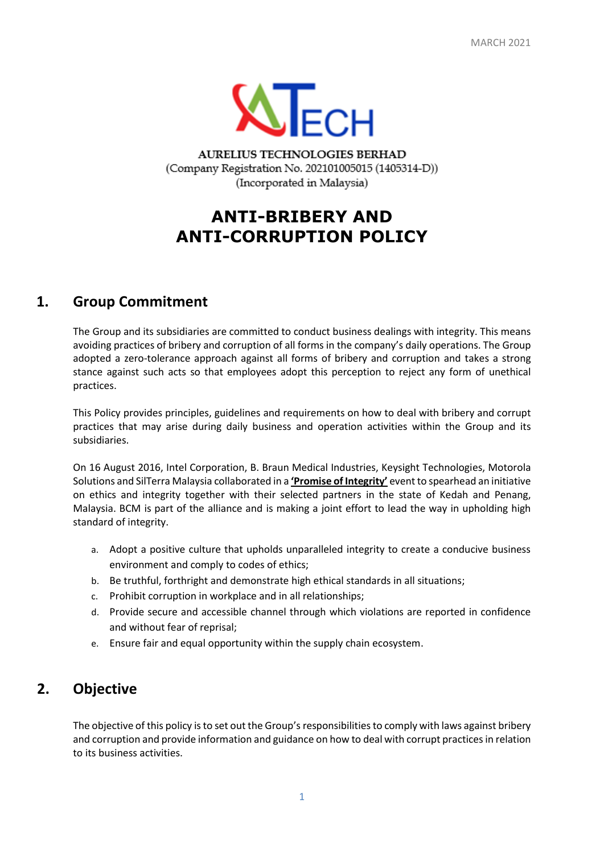

AURELIUS TECHNOLOGIES BERHAD (Company Registration No. 202101005015 (1405314-D)) (Incorporated in Malaysia)

# **ANTI-BRIBERY AND ANTI-CORRUPTION POLICY**

# **1. Group Commitment**

The Group and its subsidiaries are committed to conduct business dealings with integrity. This means avoiding practices of bribery and corruption of all forms in the company's daily operations. The Group adopted a zero-tolerance approach against all forms of bribery and corruption and takes a strong stance against such acts so that employees adopt this perception to reject any form of unethical practices.

This Policy provides principles, guidelines and requirements on how to deal with bribery and corrupt practices that may arise during daily business and operation activities within the Group and its subsidiaries.

On 16 August 2016, Intel Corporation, B. Braun Medical Industries, Keysight Technologies, Motorola Solutions and SilTerra Malaysia collaborated in a **'Promise of Integrity'** event to spearhead an initiative on ethics and integrity together with their selected partners in the state of Kedah and Penang, Malaysia. BCM is part of the alliance and is making a joint effort to lead the way in upholding high standard of integrity.

- a. Adopt a positive culture that upholds unparalleled integrity to create a conducive business environment and comply to codes of ethics;
- b. Be truthful, forthright and demonstrate high ethical standards in all situations;
- c. Prohibit corruption in workplace and in all relationships;
- d. Provide secure and accessible channel through which violations are reported in confidence and without fear of reprisal;
- e. Ensure fair and equal opportunity within the supply chain ecosystem.

# **2. Objective**

The objective of this policy is to set out the Group's responsibilities to comply with laws against bribery and corruption and provide information and guidance on how to deal with corrupt practices in relation to its business activities.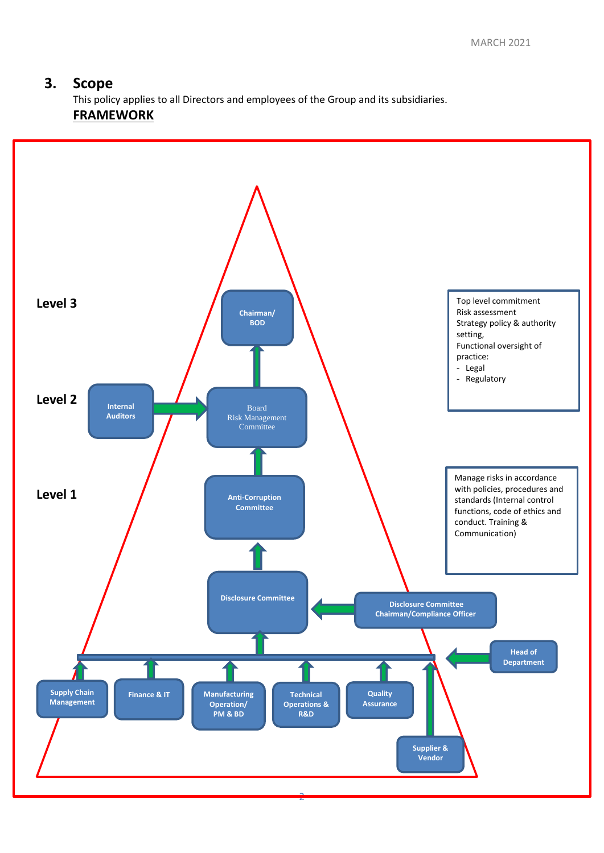#### **3. Scope**

This policy applies to all Directors and employees of the Group and its subsidiaries. **FRAMEWORK**

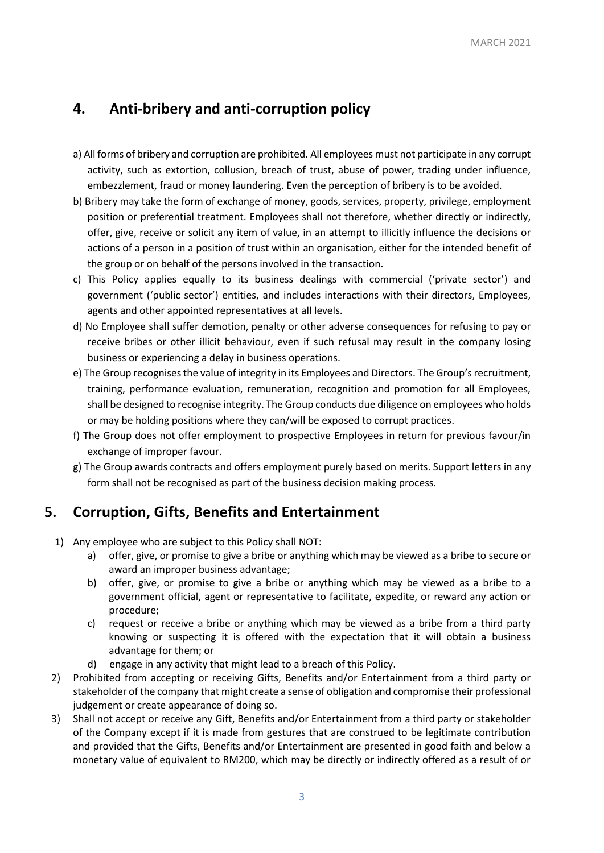# **4. Anti-bribery and anti-corruption policy**

- a) All forms of bribery and corruption are prohibited. All employees must not participate in any corrupt activity, such as extortion, collusion, breach of trust, abuse of power, trading under influence, embezzlement, fraud or money laundering. Even the perception of bribery is to be avoided.
- b) Bribery may take the form of exchange of money, goods, services, property, privilege, employment position or preferential treatment. Employees shall not therefore, whether directly or indirectly, offer, give, receive or solicit any item of value, in an attempt to illicitly influence the decisions or actions of a person in a position of trust within an organisation, either for the intended benefit of the group or on behalf of the persons involved in the transaction.
- c) This Policy applies equally to its business dealings with commercial ('private sector') and government ('public sector') entities, and includes interactions with their directors, Employees, agents and other appointed representatives at all levels.
- d) No Employee shall suffer demotion, penalty or other adverse consequences for refusing to pay or receive bribes or other illicit behaviour, even if such refusal may result in the company losing business or experiencing a delay in business operations.
- e) The Group recognises the value of integrity in its Employees and Directors. The Group's recruitment, training, performance evaluation, remuneration, recognition and promotion for all Employees, shall be designed to recognise integrity. The Group conducts due diligence on employees who holds or may be holding positions where they can/will be exposed to corrupt practices.
- f) The Group does not offer employment to prospective Employees in return for previous favour/in exchange of improper favour.
- g) The Group awards contracts and offers employment purely based on merits. Support letters in any form shall not be recognised as part of the business decision making process.

# **5. Corruption, Gifts, Benefits and Entertainment**

- 1) Any employee who are subject to this Policy shall NOT:
	- a) offer, give, or promise to give a bribe or anything which may be viewed as a bribe to secure or award an improper business advantage;
	- b) offer, give, or promise to give a bribe or anything which may be viewed as a bribe to a government official, agent or representative to facilitate, expedite, or reward any action or procedure;
	- c) request or receive a bribe or anything which may be viewed as a bribe from a third party knowing or suspecting it is offered with the expectation that it will obtain a business advantage for them; or
	- d) engage in any activity that might lead to a breach of this Policy.
- 2) Prohibited from accepting or receiving Gifts, Benefits and/or Entertainment from a third party or stakeholder of the company that might create a sense of obligation and compromise their professional judgement or create appearance of doing so.
- 3) Shall not accept or receive any Gift, Benefits and/or Entertainment from a third party or stakeholder of the Company except if it is made from gestures that are construed to be legitimate contribution and provided that the Gifts, Benefits and/or Entertainment are presented in good faith and below a monetary value of equivalent to RM200, which may be directly or indirectly offered as a result of or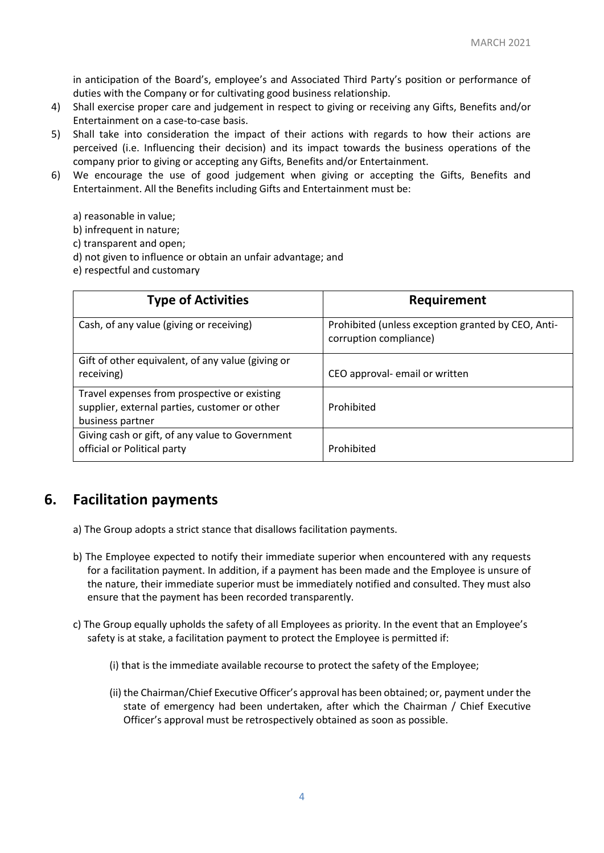in anticipation of the Board's, employee's and Associated Third Party's position or performance of duties with the Company or for cultivating good business relationship.

- 4) Shall exercise proper care and judgement in respect to giving or receiving any Gifts, Benefits and/or Entertainment on a case-to-case basis.
- 5) Shall take into consideration the impact of their actions with regards to how their actions are perceived (i.e. Influencing their decision) and its impact towards the business operations of the company prior to giving or accepting any Gifts, Benefits and/or Entertainment.
- 6) We encourage the use of good judgement when giving or accepting the Gifts, Benefits and Entertainment. All the Benefits including Gifts and Entertainment must be:
	- a) reasonable in value;
	- b) infrequent in nature;
	- c) transparent and open;
	- d) not given to influence or obtain an unfair advantage; and
	- e) respectful and customary

| <b>Type of Activities</b>                                                                                         | Requirement                                                                  |
|-------------------------------------------------------------------------------------------------------------------|------------------------------------------------------------------------------|
| Cash, of any value (giving or receiving)                                                                          | Prohibited (unless exception granted by CEO, Anti-<br>corruption compliance) |
| Gift of other equivalent, of any value (giving or<br>receiving)                                                   | CEO approval- email or written                                               |
| Travel expenses from prospective or existing<br>supplier, external parties, customer or other<br>business partner | Prohibited                                                                   |
| Giving cash or gift, of any value to Government<br>official or Political party                                    | Prohibited                                                                   |

# **6. Facilitation payments**

- a) The Group adopts a strict stance that disallows facilitation payments.
- b) The Employee expected to notify their immediate superior when encountered with any requests for a facilitation payment. In addition, if a payment has been made and the Employee is unsure of the nature, their immediate superior must be immediately notified and consulted. They must also ensure that the payment has been recorded transparently.
- c) The Group equally upholds the safety of all Employees as priority. In the event that an Employee's safety is at stake, a facilitation payment to protect the Employee is permitted if:
	- (i) that is the immediate available recourse to protect the safety of the Employee;
	- (ii) the Chairman/Chief Executive Officer's approval has been obtained; or, payment under the state of emergency had been undertaken, after which the Chairman / Chief Executive Officer's approval must be retrospectively obtained as soon as possible.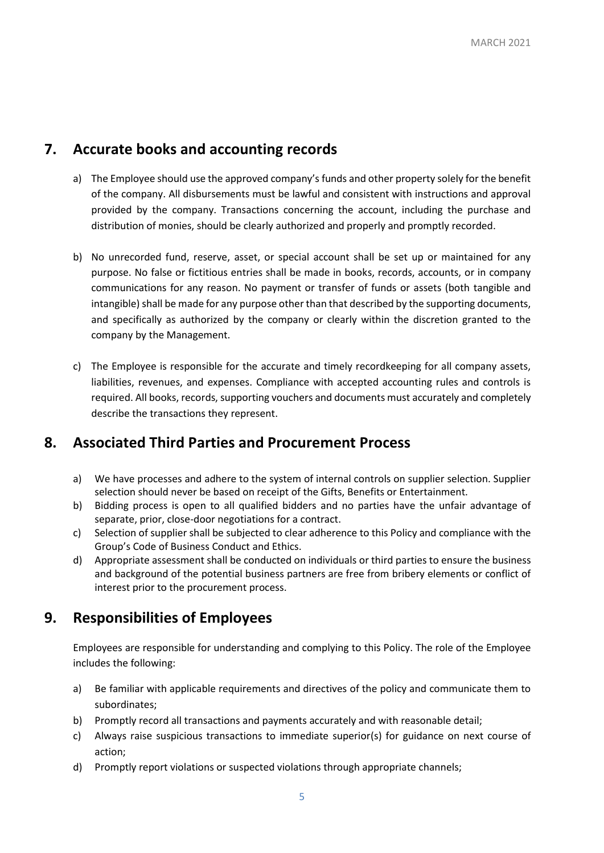#### **7. Accurate books and accounting records**

- a) The Employee should use the approved company's funds and other property solely for the benefit of the company. All disbursements must be lawful and consistent with instructions and approval provided by the company. Transactions concerning the account, including the purchase and distribution of monies, should be clearly authorized and properly and promptly recorded.
- b) No unrecorded fund, reserve, asset, or special account shall be set up or maintained for any purpose. No false or fictitious entries shall be made in books, records, accounts, or in company communications for any reason. No payment or transfer of funds or assets (both tangible and intangible) shall be made for any purpose other than that described by the supporting documents, and specifically as authorized by the company or clearly within the discretion granted to the company by the Management.
- c) The Employee is responsible for the accurate and timely recordkeeping for all company assets, liabilities, revenues, and expenses. Compliance with accepted accounting rules and controls is required. All books, records, supporting vouchers and documents must accurately and completely describe the transactions they represent.

# **8. Associated Third Parties and Procurement Process**

- a) We have processes and adhere to the system of internal controls on supplier selection. Supplier selection should never be based on receipt of the Gifts, Benefits or Entertainment.
- b) Bidding process is open to all qualified bidders and no parties have the unfair advantage of separate, prior, close-door negotiations for a contract.
- c) Selection of supplier shall be subjected to clear adherence to this Policy and compliance with the Group's Code of Business Conduct and Ethics.
- d) Appropriate assessment shall be conducted on individuals or third parties to ensure the business and background of the potential business partners are free from bribery elements or conflict of interest prior to the procurement process.

# **9. Responsibilities of Employees**

Employees are responsible for understanding and complying to this Policy. The role of the Employee includes the following:

- a) Be familiar with applicable requirements and directives of the policy and communicate them to subordinates;
- b) Promptly record all transactions and payments accurately and with reasonable detail;
- c) Always raise suspicious transactions to immediate superior(s) for guidance on next course of action;
- d) Promptly report violations or suspected violations through appropriate channels;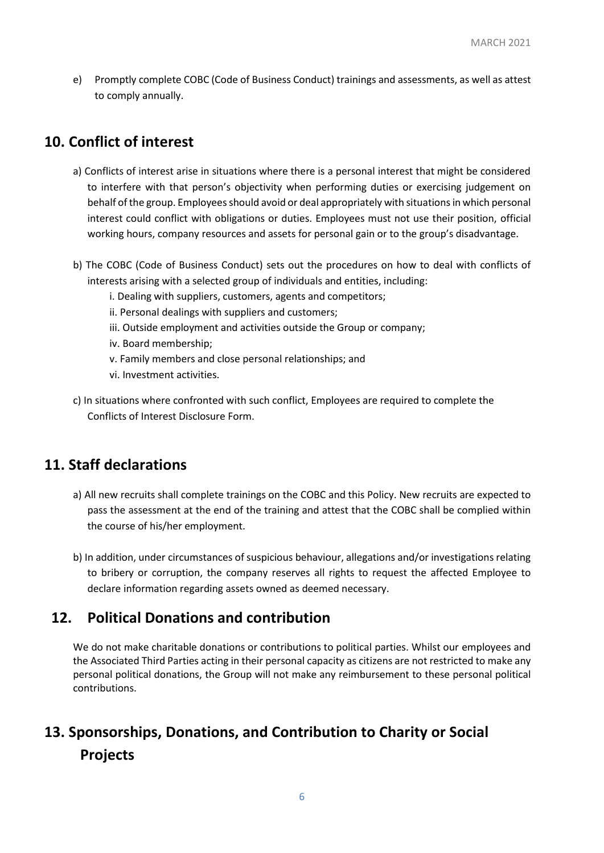e) Promptly complete COBC (Code of Business Conduct) trainings and assessments, as well as attest to comply annually.

# **10. Conflict of interest**

- a) Conflicts of interest arise in situations where there is a personal interest that might be considered to interfere with that person's objectivity when performing duties or exercising judgement on behalf of the group. Employees should avoid or deal appropriately with situations in which personal interest could conflict with obligations or duties. Employees must not use their position, official working hours, company resources and assets for personal gain or to the group's disadvantage.
- b) The COBC (Code of Business Conduct) sets out the procedures on how to deal with conflicts of interests arising with a selected group of individuals and entities, including:
	- i. Dealing with suppliers, customers, agents and competitors;
	- ii. Personal dealings with suppliers and customers;
	- iii. Outside employment and activities outside the Group or company;
	- iv. Board membership;
	- v. Family members and close personal relationships; and
	- vi. Investment activities.
- c) In situations where confronted with such conflict, Employees are required to complete the Conflicts of Interest Disclosure Form.

# **11. Staff declarations**

- a) All new recruits shall complete trainings on the COBC and this Policy. New recruits are expected to pass the assessment at the end of the training and attest that the COBC shall be complied within the course of his/her employment.
- b) In addition, under circumstances of suspicious behaviour, allegations and/or investigations relating to bribery or corruption, the company reserves all rights to request the affected Employee to declare information regarding assets owned as deemed necessary.

# **12. Political Donations and contribution**

We do not make charitable donations or contributions to political parties. Whilst our employees and the Associated Third Parties acting in their personal capacity as citizens are not restricted to make any personal political donations, the Group will not make any reimbursement to these personal political contributions.

# **13. Sponsorships, Donations, and Contribution to Charity or Social Projects**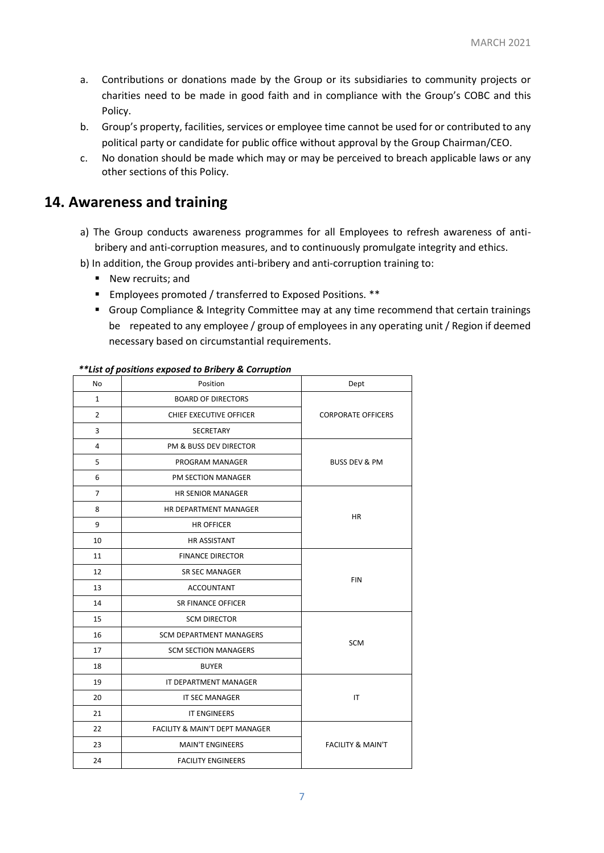- a. Contributions or donations made by the Group or its subsidiaries to community projects or charities need to be made in good faith and in compliance with the Group's COBC and this Policy.
- b. Group's property, facilities, services or employee time cannot be used for or contributed to any political party or candidate for public office without approval by the Group Chairman/CEO.
- c. No donation should be made which may or may be perceived to breach applicable laws or any other sections of this Policy.

#### **14. Awareness and training**

- a) The Group conducts awareness programmes for all Employees to refresh awareness of antibribery and anti-corruption measures, and to continuously promulgate integrity and ethics.
- b) In addition, the Group provides anti-bribery and anti-corruption training to:
	- New recruits; and
	- Employees promoted / transferred to Exposed Positions. \*\*
	- Group Compliance & Integrity Committee may at any time recommend that certain trainings be repeated to any employee / group of employees in any operating unit / Region if deemed necessary based on circumstantial requirements.

| No             | Position                                  | Dept                         |
|----------------|-------------------------------------------|------------------------------|
| $\mathbf{1}$   | <b>BOARD OF DIRECTORS</b>                 | <b>CORPORATE OFFICERS</b>    |
| $\overline{2}$ | CHIEF EXECUTIVE OFFICER                   |                              |
| 3              | <b>SECRETARY</b>                          |                              |
| 4              | PM & BUSS DEV DIRECTOR                    | <b>BUSS DEV &amp; PM</b>     |
| 5              | PROGRAM MANAGER                           |                              |
| 6              | PM SECTION MANAGER                        |                              |
| $\overline{7}$ | <b>HR SENIOR MANAGER</b>                  | HR.                          |
| 8              | HR DEPARTMENT MANAGER                     |                              |
| 9              | <b>HR OFFICER</b>                         |                              |
| 10             | <b>HR ASSISTANT</b>                       |                              |
| 11             | <b>FINANCE DIRECTOR</b>                   | <b>FIN</b>                   |
| 12             | <b>SR SEC MANAGER</b>                     |                              |
| 13             | ACCOUNTANT                                |                              |
| 14             | <b>SR FINANCE OFFICER</b>                 |                              |
| 15             | <b>SCM DIRECTOR</b>                       | <b>SCM</b>                   |
| 16             | <b>SCM DEPARTMENT MANAGERS</b>            |                              |
| 17             | <b>SCM SECTION MANAGERS</b>               |                              |
| 18             | <b>BUYER</b>                              |                              |
| 19             | IT DEPARTMENT MANAGER                     | IT                           |
| 20             | <b>IT SEC MANAGER</b>                     |                              |
| 21             | <b>IT ENGINEERS</b>                       |                              |
| 22             | <b>FACILITY &amp; MAIN'T DEPT MANAGER</b> | <b>FACILITY &amp; MAIN'T</b> |
| 23             | <b>MAIN'T ENGINEERS</b>                   |                              |
| 24             | <b>FACILITY ENGINEERS</b>                 |                              |

#### *\*\*List of positions exposed to Bribery & Corruption*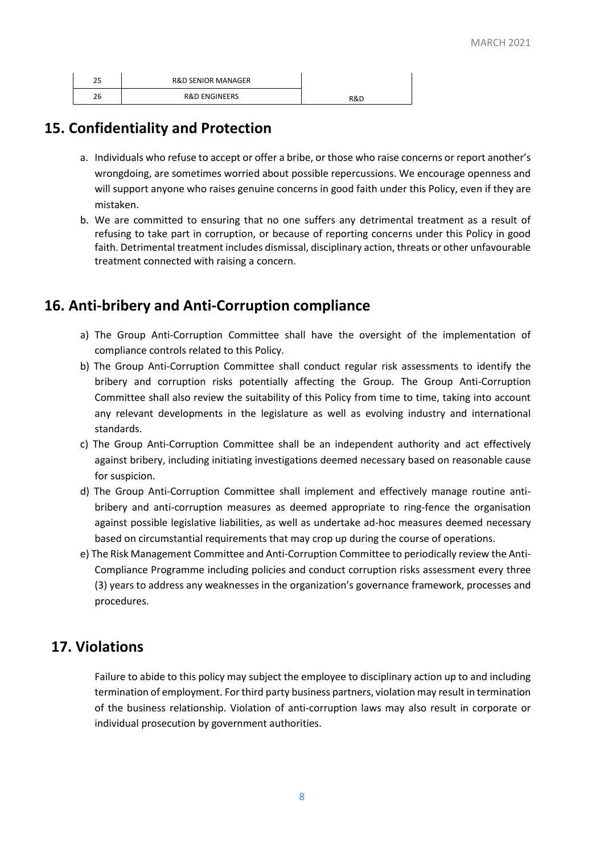| חר<br>ر ے | <b>R&amp;D SENIOR MANAGER</b> |     |
|-----------|-------------------------------|-----|
| 26        | <b>R&amp;D ENGINEERS</b>      | R&D |

# **15. Confidentiality and Protection**

- a. Individuals who refuse to accept or offer a bribe, or those who raise concerns or report another's wrongdoing, are sometimes worried about possible repercussions. We encourage openness and will support anyone who raises genuine concerns in good faith under this Policy, even if they are mistaken.
- b. We are committed to ensuring that no one suffers any detrimental treatment as a result of refusing to take part in corruption, or because of reporting concerns under this Policy in good faith. Detrimental treatment includes dismissal, disciplinary action, threats or other unfavourable treatment connected with raising a concern.

# **16. Anti-bribery and Anti-Corruption compliance**

- a) The Group Anti-Corruption Committee shall have the oversight of the implementation of compliance controls related to this Policy.
- b) The Group Anti-Corruption Committee shall conduct regular risk assessments to identify the bribery and corruption risks potentially affecting the Group. The Group Anti-Corruption Committee shall also review the suitability of this Policy from time to time, taking into account any relevant developments in the legislature as well as evolving industry and international standards.
- c) The Group Anti-Corruption Committee shall be an independent authority and act effectively against bribery, including initiating investigations deemed necessary based on reasonable cause for suspicion.
- d) The Group Anti-Corruption Committee shall implement and effectively manage routine antibribery and anti-corruption measures as deemed appropriate to ring-fence the organisation against possible legislative liabilities, as well as undertake ad-hoc measures deemed necessary based on circumstantial requirements that may crop up during the course of operations.
- e) The Risk Management Committee and Anti-Corruption Committee to periodically review the Anti-Compliance Programme including policies and conduct corruption risks assessment every three (3) years to address any weaknesses in the organization's governance framework, processes and procedures.

# **17. Violations**

Failure to abide to this policy may subject the employee to disciplinary action up to and including termination of employment. For third party business partners, violation may result in termination of the business relationship. Violation of anti-corruption laws may also result in corporate or individual prosecution by government authorities.